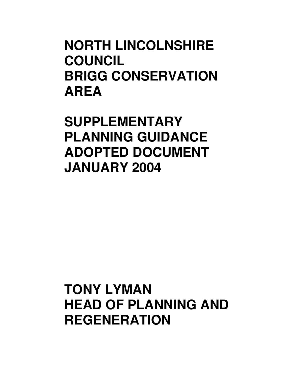# **NORTH LINCOLNSHIRE COUNCIL BRIGG CONSERVATION AREA**

**SUPPLEMENTARY PLANNING GUIDANCE ADOPTED DOCUMENT JANUARY 2004** 

# **TONY LYMAN HEAD OF PLANNING AND REGENERATION**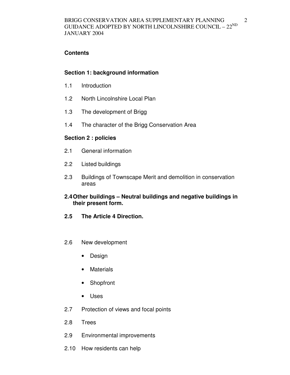## **Contents**

## **Section 1: background information**

- 1.1 Introduction
- 1.2 North Lincolnshire Local Plan
- 1.3 The development of Brigg
- 1.4 The character of the Brigg Conservation Area

## **Section 2 : policies**

- 2.1 General information
- 2.2 Listed buildings
- 2.3 Buildings of Townscape Merit and demolition in conservation areas

## **2.4 Other buildings – Neutral buildings and negative buildings in their present form.**

- **2.5 The Article 4 Direction.**
- 2.6 New development
	- Design
	- Materials
	- Shopfront
	- Uses
- 2.7 Protection of views and focal points
- 2.8 Trees
- 2.9 Environmental improvements
- 2.10 How residents can help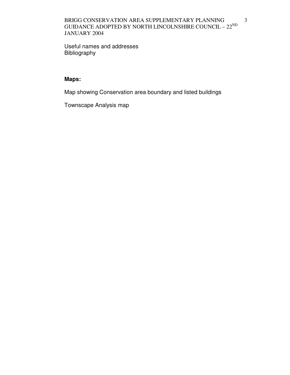#### BRIGG CONSERVATION AREA SUPPLEMENTARY PLANNING GUIDANCE ADOPTED BY NORTH LINCOLNSHIRE COUNCIL – 22<sup>ND</sup> JANUARY 2004

Useful names and addresses Bibliography

# **Maps:**

Map showing Conservation area boundary and listed buildings

Townscape Analysis map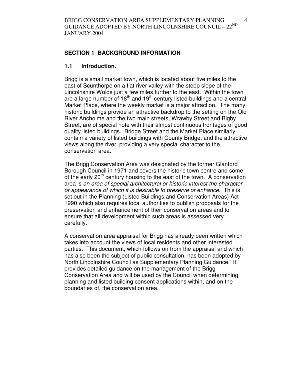## **SECTION 1 BACKGROUND INFORMATION**

#### **1.1 Introduction.**

Brigg is a small market town, which is located about five miles to the east of Scunthorpe on a flat river valley with the steep slope of the Lincolnshire Wolds just a few miles further to the east. Within the town are a large number of  $18<sup>th</sup>$  and  $19<sup>th</sup>$  century listed buildings and a central Market Place, where the weekly market is a major attraction. The many historic buildings provide an attractive backdrop to the setting on the Old River Ancholme and the two main streets, Wrawby Street and Bigby Street, are of special note with their almost continuous frontages of good quality listed buildings. Bridge Street and the Market Place similarly contain a variety of listed buildings with County Bridge, and the attractive views along the river, providing a very special character to the conservation area.

The Brigg Conservation Area was designated by the former Glanford Borough Council in 1971 and covers the historic town centre and some of the early  $20<sup>th</sup>$  century housing to the east of the town. A conservation area is an area of special architectural or historic interest the character or appearance of which it is desirable to preserve or enhance. This is set out in the Planning (Listed Buildings and Conservation Areas) Act 1990 which also requires local authorities to publish proposals for the preservation and enhancement of their conservation areas and to ensure that all development within such areas is assessed very carefully.

A conservation area appraisal for Brigg has already been written which takes into account the views of local residents and other interested parties. This document, which follows on from the appraisal and which has also been the subject of public consultation, has been adopted by North Lincolnshire Council as Supplementary Planning Guidance. It provides detailed guidance on the management of the Brigg Conservation Area and will be used by the Council when determining planning and listed building consent applications within, and on the boundaries of, the conservation area.

4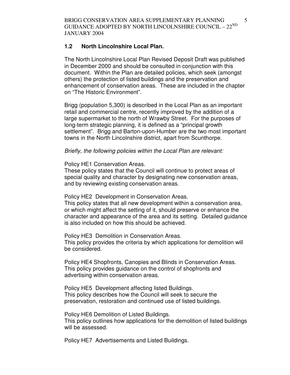BRIGG CONSERVATION AREA SUPPLEMENTARY PLANNING GUIDANCE ADOPTED BY NORTH LINCOLNSHIRE COUNCIL –  $22^{\text{ND}}$ JANUARY 2004

#### **1.2 North Lincolnshire Local Plan.**

The North Lincolnshire Local Plan Revised Deposit Draft was published in December 2000 and should be consulted in conjunction with this document. Within the Plan are detailed policies, which seek (amongst others) the protection of listed buildings and the preservation and enhancement of conservation areas. These are included in the chapter on "The Historic Environment".

Brigg (population 5,300) is described in the Local Plan as an important retail and commercial centre, recently improved by the addition of a large supermarket to the north of Wrawby Street. For the purposes of long-term strategic planning, it is defined as a "principal growth settlement". Brigg and Barton-upon-Humber are the two most important towns in the North Lincolnshire district, apart from Scunthorpe.

Briefly, the following policies within the Local Plan are relevant:

Policy HE1 Conservation Areas.

These policy states that the Council will continue to protect areas of special quality and character by designating new conservation areas, and by reviewing existing conservation areas.

Policy HE2 Development in Conservation Areas. This policy states that all new development within a conservation area,

or which might affect the setting of it, should preserve or enhance the character and appearance of the area and its setting. Detailed guidance is also included on how this should be achieved.

Policy HE3 Demolition in Conservation Areas. This policy provides the criteria by which applications for demolition will be considered.

Policy HE4 Shopfronts, Canopies and Blinds in Conservation Areas. This policy provides guidance on the control of shopfronts and advertising within conservation areas.

Policy HE5 Development affecting listed Buildings. This policy describes how the Council will seek to secure the preservation, restoration and continued use of listed buildings.

Policy HE6 Demolition of Listed Buildings.

This policy outlines how applications for the demolition of listed buildings will be assessed.

Policy HE7 Advertisements and Listed Buildings.

5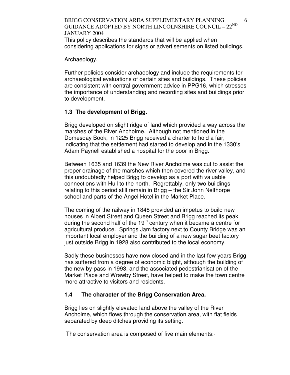BRIGG CONSERVATION AREA SUPPLEMENTARY PLANNING GUIDANCE ADOPTED BY NORTH LINCOLNSHIRE COUNCIL –  $22^{\text{ND}}$ JANUARY 2004 This policy describes the standards that will be applied when considering applications for signs or advertisements on listed buildings.

Archaeology.

Further policies consider archaeology and include the requirements for archaeological evaluations of certain sites and buildings. These policies are consistent with central government advice in PPG16, which stresses the importance of understanding and recording sites and buildings prior to development.

## **1.3 The development of Brigg.**

Brigg developed on slight ridge of land which provided a way across the marshes of the River Ancholme. Although not mentioned in the Domesday Book, in 1225 Brigg received a charter to hold a fair, indicating that the settlement had started to develop and in the 1330's Adam Paynell established a hospital for the poor in Brigg.

Between 1635 and 1639 the New River Ancholme was cut to assist the proper drainage of the marshes which then covered the river valley, and this undoubtedly helped Brigg to develop as a port with valuable connections with Hull to the north. Regrettably, only two buildings relating to this period still remain in Brigg – the Sir John Nelthorpe school and parts of the Angel Hotel in the Market Place.

The coming of the railway in 1848 provided an impetus to build new houses in Albert Street and Queen Street and Brigg reached its peak during the second half of the  $19<sup>th</sup>$  century when it became a centre for agricultural produce. Springs Jam factory next to County Bridge was an important local employer and the building of a new sugar beet factory just outside Brigg in 1928 also contributed to the local economy.

Sadly these businesses have now closed and in the last few years Brigg has suffered from a degree of economic blight, although the building of the new by-pass in 1993, and the associated pedestrianisation of the Market Place and Wrawby Street, have helped to make the town centre more attractive to visitors and residents.

## **1.4 The character of the Brigg Conservation Area.**

Brigg lies on slightly elevated land above the valley of the River Ancholme, which flows through the conservation area, with flat fields separated by deep ditches providing its setting.

The conservation area is composed of five main elements:-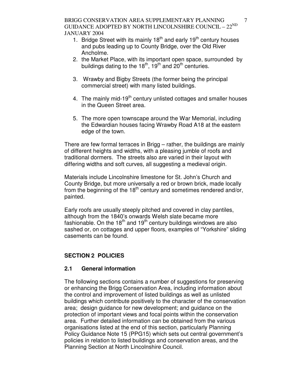BRIGG CONSERVATION AREA SUPPLEMENTARY PLANNING GUIDANCE ADOPTED BY NORTH LINCOLNSHIRE COUNCIL –  $22^{\text{ND}}$ JANUARY 2004

- 1. Bridge Street with its mainly  $18<sup>th</sup>$  and early  $19<sup>th</sup>$  century houses and pubs leading up to County Bridge, over the Old River Ancholme.
- 2. the Market Place, with its important open space, surrounded by buildings dating to the  $18<sup>th</sup>$ ,  $19<sup>th</sup>$  and  $20<sup>th</sup>$  centuries.
- 3. Wrawby and Bigby Streets (the former being the principal commercial street) with many listed buildings.
- 4. The mainly mid-19<sup>th</sup> century unlisted cottages and smaller houses in the Queen Street area.
- 5. The more open townscape around the War Memorial, including the Edwardian houses facing Wrawby Road A18 at the eastern edge of the town.

There are few formal terraces in Brigg – rather, the buildings are mainly of different heights and widths, with a pleasing jumble of roofs and traditional dormers. The streets also are varied in their layout with differing widths and soft curves, all suggesting a medieval origin.

Materials include Lincolnshire limestone for St. John's Church and County Bridge, but more universally a red or brown brick, made locally from the beginning of the  $18<sup>th</sup>$  century and sometimes rendered and/or, painted.

Early roofs are usually steeply pitched and covered in clay pantiles, although from the 1840's onwards Welsh slate became more fashionable. On the  $18<sup>th</sup>$  and  $19<sup>th</sup>$  century buildings windows are also sashed or, on cottages and upper floors, examples of "Yorkshire" sliding casements can be found.

## **SECTION 2 POLICIES**

#### **2.1 General information**

The following sections contains a number of suggestions for preserving or enhancing the Brigg Conservation Area, including information about the control and improvement of listed buildings as well as unlisted buildings which contribute positively to the character of the conservation area; design guidance for new development; and guidance on the protection of important views and focal points within the conservation area. Further detailed information can be obtained from the various organisations listed at the end of this section, particularly Planning Policy Guidance Note 15 (PPG15) which sets out central government's policies in relation to listed buildings and conservation areas, and the Planning Section at North Lincolnshire Council.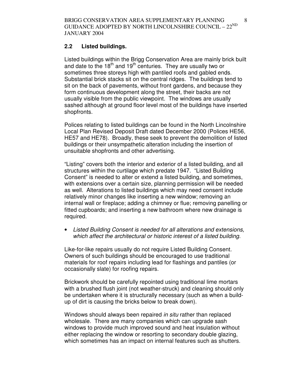#### **2.2 Listed buildings.**

Listed buildings within the Brigg Conservation Area are mainly brick built and date to the  $18<sup>th</sup>$  and  $19<sup>th</sup>$  centuries. They are usually two or sometimes three storeys high with pantiled roofs and gabled ends. Substantial brick stacks sit on the central ridges. The buildings tend to sit on the back of pavements, without front gardens, and because they form continuous development along the street, their backs are not usually visible from the public viewpoint. The windows are usually sashed although at ground floor level most of the buildings have inserted shopfronts.

Polices relating to listed buildings can be found in the North Lincolnshire Local Plan Revised Deposit Draft dated December 2000 (Polices HE56, HE57 and HE78). Broadly, these seek to prevent the demolition of listed buildings or their unsympathetic alteration including the insertion of unsuitable shopfronts and other advertising.

"Listing" covers both the interior and exterior of a listed building, and all structures within the curtilage which predate 1947. "Listed Building Consent" is needed to alter or extend a listed building, and sometimes, with extensions over a certain size, planning permission will be needed as well. Alterations to listed buildings which may need consent include relatively minor changes like inserting a new window; removing an internal wall or fireplace; adding a chimney or flue; removing panelling or fitted cupboards; and inserting a new bathroom where new drainage is required.

• Listed Building Consent is needed for all alterations and extensions, which affect the architectural or historic interest of a listed building.

Like-for-like repairs usually do not require Listed Building Consent. Owners of such buildings should be encouraged to use traditional materials for roof repairs including lead for flashings and pantiles (or occasionally slate) for roofing repairs.

Brickwork should be carefully repointed using traditional lime mortars with a brushed flush joint (not weather-struck) and cleaning should only be undertaken where it is structurally necessary (such as when a buildup of dirt is causing the bricks below to break down).

Windows should always been repaired in situ rather than replaced wholesale. There are many companies which can upgrade sash windows to provide much improved sound and heat insulation without either replacing the window or resorting to secondary double glazing, which sometimes has an impact on internal features such as shutters.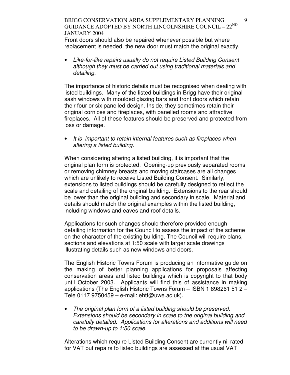#### BRIGG CONSERVATION AREA SUPPLEMENTARY PLANNING GUIDANCE ADOPTED BY NORTH LINCOLNSHIRE COUNCIL –  $22^{\text{ND}}$ JANUARY 2004

Front doors should also be repaired whenever possible but where replacement is needed, the new door must match the original exactly.

• Like-for-like repairs usually do not require Listed Building Consent although they must be carried out using traditional materials and detailing.

The importance of historic details must be recognised when dealing with listed buildings. Many of the listed buildings in Brigg have their original sash windows with moulded glazing bars and front doors which retain their four or six panelled design. Inside, they sometimes retain their original cornices and fireplaces, with panelled rooms and attractive fireplaces. All of these features should be preserved and protected from loss or damage.

It is important to retain internal features such as fireplaces when altering a listed building.

When considering altering a listed building, it is important that the original plan form is protected. Opening-up previously separated rooms or removing chimney breasts and moving staircases are all changes which are unlikely to receive Listed Building Consent. Similarly, extensions to listed buildings should be carefully designed to reflect the scale and detailing of the original building. Extensions to the rear should be lower than the original building and secondary in scale. Material and details should match the original examples within the listed building, including windows and eaves and roof details.

Applications for such changes should therefore provided enough detailing information for the Council to assess the impact of the scheme on the character of the existing building. The Council will require plans, sections and elevations at 1:50 scale with larger scale drawings illustrating details such as new windows and doors.

The English Historic Towns Forum is producing an informative guide on the making of better planning applications for proposals affecting conservation areas and listed buildings which is copyright to that body until October 2003. Applicants will find this of assistance in making applications (The English Historic Towns Forum – ISBN 1 898261 51 2 – Tele 0117 9750459 – e-mail: ehtf@uwe.ac.uk).

The original plan form of a listed building should be preserved. Extensions should be secondary in scale to the original building and carefully detailed. Applications for alterations and additions will need to be drawn-up to 1:50 scale.

Alterations which require Listed Building Consent are currently nil rated for VAT but repairs to listed buildings are assessed at the usual VAT

9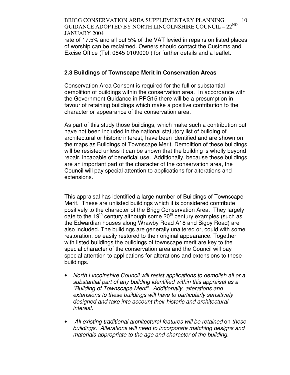#### BRIGG CONSERVATION AREA SUPPLEMENTARY PLANNING GUIDANCE ADOPTED BY NORTH LINCOLNSHIRE COUNCIL –  $22^{ND}$ JANUARY 2004 10

rate of 17.5% and all but 5% of the VAT levied in repairs on listed places of worship can be reclaimed. Owners should contact the Customs and Excise Office (Tel: 0845 0109000 ) for further details and a leaflet.

## **2.3 Buildings of Townscape Merit in Conservation Areas**

Conservation Area Consent is required for the full or substantial demolition of buildings within the conservation area. In accordance with the Government Guidance in PPG15 there will be a presumption in favour of retaining buildings which make a positive contribution to the character or appearance of the conservation area.

As part of this study those buildings, which make such a contribution but have not been included in the national statutory list of building of architectural or historic interest, have been identified and are shown on the maps as Buildings of Townscape Merit. Demolition of these buildings will be resisted unless it can be shown that the building is wholly beyond repair, incapable of beneficial use. Additionally, because these buildings are an important part of the character of the conservation area, the Council will pay special attention to applications for alterations and extensions.

This appraisal has identified a large number of Buildings of Townscape Merit. These are unlisted buildings which it is considered contribute positively to the character of the Brigg Conservation Area. They largely date to the 19<sup>th</sup> century although some  $20<sup>th</sup>$  century examples (such as the Edwardian houses along Wrawby Road A18 and Bigby Road) are also included. The buildings are generally unaltered or, could with some restoration, be easily restored to their original appearance. Together with listed buildings the buildings of townscape merit are key to the special character of the conservation area and the Council will pay special attention to applications for alterations and extensions to these buildings.

- North Lincolnshire Council will resist applications to demolish all or a substantial part of any building identified within this appraisal as a "Building of Townscape Merit". Additionally, alterations and extensions to these buildings will have to particularly sensitively designed and take into account their historic and architectural interest.
- All existing traditional architectural features will be retained on these buildings. Alterations will need to incorporate matching designs and materials appropriate to the age and character of the building.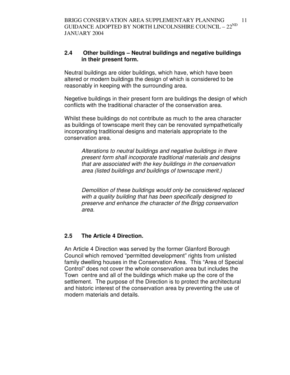## **2.4 Other buildings – Neutral buildings and negative buildings in their present form.**

Neutral buildings are older buildings, which have, which have been altered or modern buildings the design of which is considered to be reasonably in keeping with the surrounding area.

Negetive buildings in their present form are buildings the design of which conflicts with the traditional character of the conservation area.

Whilst these buildings do not contribute as much to the area character as buildings of townscape merit they can be renovated sympathetically incorporating traditional designs and materials appropriate to the conservation area.

Alterations to neutral buildings and negative buildings in there present form shall incorporate traditional materials and designs that are associated with the key buildings in the conservation area (listed buildings and buildings of townscape merit.)

Demolition of these buildings would only be considered replaced with a quality building that has been specifically designed to preserve and enhance the character of the Brigg conservation area.

# **2.5 The Article 4 Direction.**

An Article 4 Direction was served by the former Glanford Borough Council which removed "permitted development" rights from unlisted family dwelling houses in the Conservation Area. This "Area of Special Control" does not cover the whole conservation area but includes the Town centre and all of the buildings which make up the core of the settlement. The purpose of the Direction is to protect the architectural and historic interest of the conservation area by preventing the use of modern materials and details.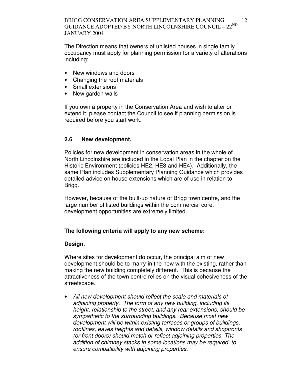The Direction means that owners of unlisted houses in single family occupancy must apply for planning permission for a variety of alterations including:

- New windows and doors
- Changing the roof materials
- Small extensions
- New garden walls

If you own a property in the Conservation Area and wish to alter or extend it, please contact the Council to see if planning permission is required before you start work.

# **2.6 New development.**

Policies for new development in conservation areas in the whole of North Lincolnshire are included in the Local Plan in the chapter on the Historic Environment (policies HE2, HE3 and HE4). Additionally, the same Plan includes Supplementary Planning Guidance which provides detailed advice on house extensions which are of use in relation to Brigg.

However, because of the built-up nature of Brigg town centre, and the large number of listed buildings within the commercial core, development opportunities are extremely limited.

# **The following criteria will apply to any new scheme:**

## **Design.**

Where sites for development do occur, the principal aim of new development should be to marry-in the new with the existing, rather than making the new building completely different. This is because the attractiveness of the town centre relies on the visual cohesiveness of the streetscape.

• All new development should reflect the scale and materials of adjoining property. The form of any new building, including its height, relationship to the street, and any rear extensions, should be sympathetic to the surrounding buildings. Because most new development will be within existing terraces or groups of buildings, rooflines, eaves heights and details, window details and shopfronts (or front doors) should match or reflect adjoining properties. The addition of chimney stacks in some locations may be required, to ensure compatibility with adjoining properties.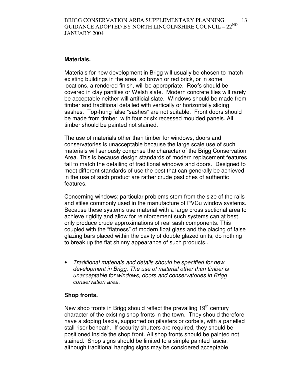#### **Materials.**

Materials for new development in Brigg will usually be chosen to match existing buildings in the area, so brown or red brick, or in some locations, a rendered finish, will be appropriate. Roofs should be covered in clay pantiles or Welsh slate. Modern concrete tiles will rarely be acceptable neither will artificial slate. Windows should be made from timber and traditional detailed with vertically or horizontally sliding sashes. Top-hung false "sashes" are not suitable. Front doors should be made from timber, with four or six recessed moulded panels. All timber should be painted not stained.

The use of materials other than timber for windows, doors and conservatories is unacceptable because the large scale use of such materials will seriously comprise the character of the Brigg Conservation Area. This is because design standards of modern replacement features fail to match the detailing of traditional windows and doors. Designed to meet different standards of use the best that can generally be achieved in the use of such product are rather crude pastiches of authentic features.

Concerning windows; particular problems stem from the size of the rails and stiles commonly used in the manufacture of PVCu window systems. Because these systems use material with a large cross sectional area to achieve rigidity and allow for reinforcement such systems can at best only produce crude approximations of real sash components. This coupled with the "flatness" of modern float glass and the placing of false glazing bars placed within the cavity of double glazed units, do nothing to break up the flat shinny appearance of such products..

• Traditional materials and details should be specified for new development in Brigg. The use of material other than timber is unacceptable for windows, doors and conservatories in Brigg conservation area.

## **Shop fronts.**

New shop fronts in Brigg should reflect the prevailing 19<sup>th</sup> century character of the existing shop fronts in the town. They should therefore have a sloping fascia, supported on pilasters or corbels, with a panelled stall-riser beneath. If security shutters are required, they should be positioned inside the shop front. All shop fronts should be painted not stained. Shop signs should be limited to a simple painted fascia, although traditional hanging signs may be considered acceptable.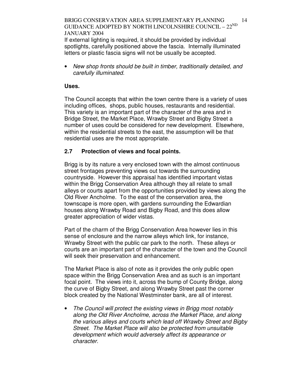#### BRIGG CONSERVATION AREA SUPPLEMENTARY PLANNING GUIDANCE ADOPTED BY NORTH LINCOLNSHIRE COUNCIL –  $22^{\text{ND}}$ JANUARY 2004 14

If external lighting is required, it should be provided by individual spotlights, carefully positioned above the fascia. Internally illuminated letters or plastic fascia signs will not be usually be accepted.

• New shop fronts should be built in timber, traditionally detailed, and carefully illuminated.

#### **Uses.**

The Council accepts that within the town centre there is a variety of uses including offices, shops, public houses, restaurants and residential. This variety is an important part of the character of the area and in Bridge Street, the Market Place, Wrawby Street and Bigby Street a number of uses could be considered for new development. Elsewhere, within the residential streets to the east, the assumption will be that residential uses are the most appropriate.

## **2.7 Protection of views and focal points.**

Brigg is by its nature a very enclosed town with the almost continuous street frontages preventing views out towards the surrounding countryside. However this appraisal has identified important vistas within the Brigg Conservation Area although they all relate to small alleys or courts apart from the opportunities provided by views along the Old River Ancholme. To the east of the conservation area, the townscape is more open, with gardens surrounding the Edwardian houses along Wrawby Road and Bigby Road, and this does allow greater appreciation of wider vistas.

Part of the charm of the Brigg Conservation Area however lies in this sense of enclosure and the narrow alleys which link, for instance, Wrawby Street with the public car park to the north. These alleys or courts are an important part of the character of the town and the Council will seek their preservation and enhancement.

The Market Place is also of note as it provides the only public open space within the Brigg Conservation Area and as such is an important focal point. The views into it, across the bump of County Bridge, along the curve of Bigby Street, and along Wrawby Street past the corner block created by the National Westminster bank, are all of interest.

The Council will protect the existing views in Brigg most notably along the Old River Ancholme, across the Market Place, and along the various alleys and courts which lead off Wrawby Street and Bigby Street. The Market Place will also be protected from unsuitable development which would adversely affect its appearance or character.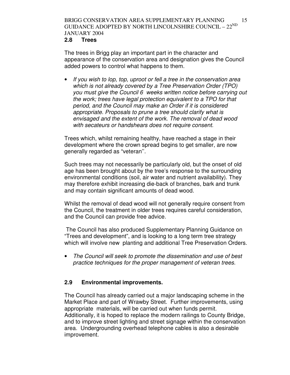#### **2.8 Trees**

The trees in Brigg play an important part in the character and appearance of the conservation area and designation gives the Council added powers to control what happens to them.

• If you wish to lop, top, uproot or fell a tree in the conservation area which is not already covered by a Tree Preservation Order (TPO) you must give the Council 6 weeks written notice before carrying out the work; trees have legal protection equivalent to a TPO for that period, and the Council may make an Order if it is considered appropriate. Proposals to prune a tree should clarify what is envisaged and the extent of the work. The removal of dead wood with secateurs or handshears does not require consent.

Trees which, whilst remaining healthy, have reached a stage in their development where the crown spread begins to get smaller, are now generally regarded as "veteran''.

Such trees may not necessarily be particularly old, but the onset of old age has been brought about by the tree's response to the surrounding environmental conditions (soil, air water and nutrient availability). They may therefore exhibit increasing die-back of branches, bark and trunk and may contain significant amounts of dead wood.

Whilst the removal of dead wood will not generally require consent from the Council, the treatment in older trees requires careful consideration, and the Council can provide free advice.

 The Council has also produced Supplementary Planning Guidance on "Trees and development", and is looking to a long term tree strategy which will involve new planting and additional Tree Preservation Orders.

• The Council will seek to promote the dissemination and use of best practice techniques for the proper management of veteran trees.

## **2.9 Environmental improvements.**

The Council has already carried out a major landscaping scheme in the Market Place and part of Wrawby Street. Further improvements, using appropriate materials, will be carried out when funds permit. Additionally, it is hoped to replace the modern railings to County Bridge, and to improve street lighting and street signage within the conservation area. Undergrounding overhead telephone cables is also a desirable improvement.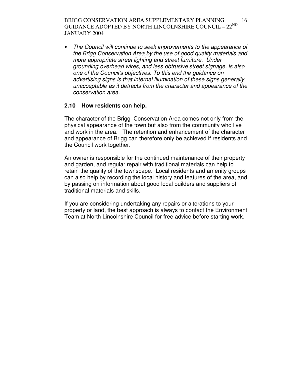BRIGG CONSERVATION AREA SUPPLEMENTARY PLANNING GUIDANCE ADOPTED BY NORTH LINCOLNSHIRE COUNCIL –  $22^{\text{ND}}$ JANUARY 2004 16

• The Council will continue to seek improvements to the appearance of the Brigg Conservation Area by the use of good quality materials and more appropriate street lighting and street furniture. Under grounding overhead wires, and less obtrusive street signage, is also one of the Council's objectives. To this end the guidance on advertising signs is that internal illumination of these signs generally unacceptable as it detracts from the character and appearance of the conservation area.

## **2.10 How residents can help.**

The character of the Brigg Conservation Area comes not only from the physical appearance of the town but also from the community who live and work in the area. The retention and enhancement of the character and appearance of Brigg can therefore only be achieved if residents and the Council work together.

An owner is responsible for the continued maintenance of their property and garden, and regular repair with traditional materials can help to retain the quality of the townscape. Local residents and amenity groups can also help by recording the local history and features of the area, and by passing on information about good local builders and suppliers of traditional materials and skills.

If you are considering undertaking any repairs or alterations to your property or land, the best approach is always to contact the Environment Team at North Lincolnshire Council for free advice before starting work.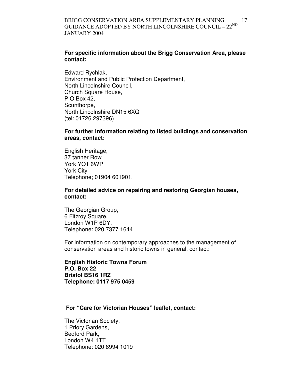#### **For specific information about the Brigg Conservation Area, please contact:**

Edward Rychlak, Environment and Public Protection Department, North Lincolnshire Council, Church Square House, P O Box 42, Scunthorpe. North Lincolnshire DN15 6XQ (tel: 01726 297396)

#### **For further information relating to listed buildings and conservation areas, contact:**

English Heritage, 37 tanner Row York YO1 6WP York City Telephone; 01904 601901.

#### **For detailed advice on repairing and restoring Georgian houses, contact:**

The Georgian Group, 6 Fitzroy Square, London W1P 6DY. Telephone: 020 7377 1644

For information on contemporary approaches to the management of conservation areas and historic towns in general, contact:

**English Historic Towns Forum P.O. Box 22 Bristol BS16 1RZ Telephone: 0117 975 0459** 

## **For "Care for Victorian Houses" leaflet, contact:**

The Victorian Society, 1 Priory Gardens, Bedford Park, London W4 1TT Telephone: 020 8994 1019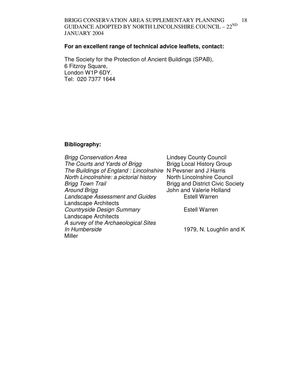#### BRIGG CONSERVATION AREA SUPPLEMENTARY PLANNING GUIDANCE ADOPTED BY NORTH LINCOLNSHIRE COUNCIL –  $22^{ND}$ JANUARY 2004 18

## **For an excellent range of technical advice leaflets, contact:**

The Society for the Protection of Ancient Buildings (SPAB), 6 Fitzroy Square, London W1P 6DY. Tel: 020 7377 1644

## **Bibliography:**

| <b>Brigg Conservation Area</b>                                | <b>Lindsey County Council</b>           |
|---------------------------------------------------------------|-----------------------------------------|
| The Courts and Yards of Brigg                                 | <b>Brigg Local History Group</b>        |
| The Buildings of England: Lincolnshire N Pevsner and J Harris |                                         |
| North Lincolnshire: a pictorial history                       | <b>North Lincolnshire Council</b>       |
| Brigg Town Trail                                              | <b>Brigg and District Civic Society</b> |
| <b>Around Brigg</b>                                           | John and Valerie Holland                |
| <b>Landscape Assessment and Guides</b>                        | <b>Estell Warren</b>                    |
| <b>Landscape Architects</b>                                   |                                         |
| <b>Countryside Design Summary</b>                             | <b>Estell Warren</b>                    |
| <b>Landscape Architects</b>                                   |                                         |
| A survey of the Archaeological Sites                          |                                         |
| In Humberside                                                 | 1979, N. Loughlin and K                 |
| Miller                                                        |                                         |
|                                                               |                                         |